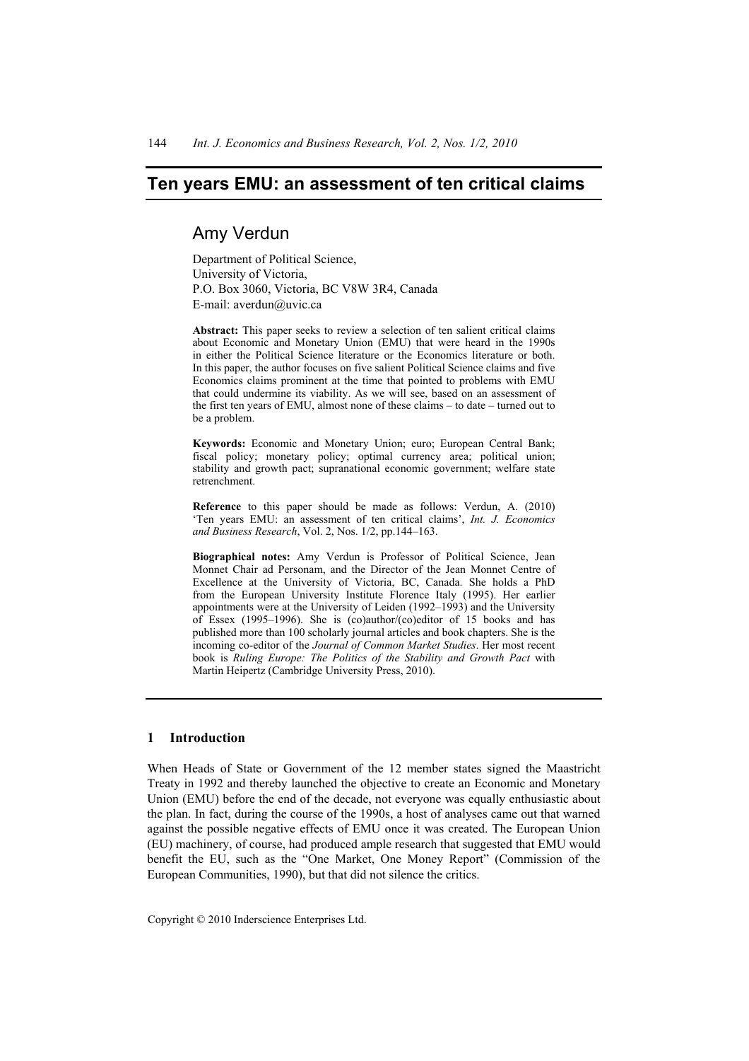# **Ten years EMU: an assessment of ten critical claims**

# Amy Verdun

Department of Political Science, University of Victoria, P.O. Box 3060, Victoria, BC V8W 3R4, Canada E-mail: averdun@uvic.ca

**Abstract:** This paper seeks to review a selection of ten salient critical claims about Economic and Monetary Union (EMU) that were heard in the 1990s in either the Political Science literature or the Economics literature or both. In this paper, the author focuses on five salient Political Science claims and five Economics claims prominent at the time that pointed to problems with EMU that could undermine its viability. As we will see, based on an assessment of the first ten years of EMU, almost none of these claims – to date – turned out to be a problem.

**Keywords:** Economic and Monetary Union; euro; European Central Bank; fiscal policy; monetary policy; optimal currency area; political union; stability and growth pact; supranational economic government; welfare state retrenchment.

**Reference** to this paper should be made as follows: Verdun, A. (2010) 'Ten years EMU: an assessment of ten critical claims', *Int. J. Economics and Business Research*, Vol. 2, Nos. 1/2, pp.144–163.

**Biographical notes:** Amy Verdun is Professor of Political Science, Jean Monnet Chair ad Personam, and the Director of the Jean Monnet Centre of Excellence at the University of Victoria, BC, Canada. She holds a PhD from the European University Institute Florence Italy (1995). Her earlier appointments were at the University of Leiden (1992–1993) and the University of Essex (1995–1996). She is (co)author/(co)editor of 15 books and has published more than 100 scholarly journal articles and book chapters. She is the incoming co-editor of the *Journal of Common Market Studies*. Her most recent book is *Ruling Europe: The Politics of the Stability and Growth Pact* with Martin Heipertz (Cambridge University Press, 2010).

# **1 Introduction**

When Heads of State or Government of the 12 member states signed the Maastricht Treaty in 1992 and thereby launched the objective to create an Economic and Monetary Union (EMU) before the end of the decade, not everyone was equally enthusiastic about the plan. In fact, during the course of the 1990s, a host of analyses came out that warned against the possible negative effects of EMU once it was created. The European Union (EU) machinery, of course, had produced ample research that suggested that EMU would benefit the EU, such as the "One Market, One Money Report" (Commission of the European Communities, 1990), but that did not silence the critics.

Copyright © 2010 Inderscience Enterprises Ltd.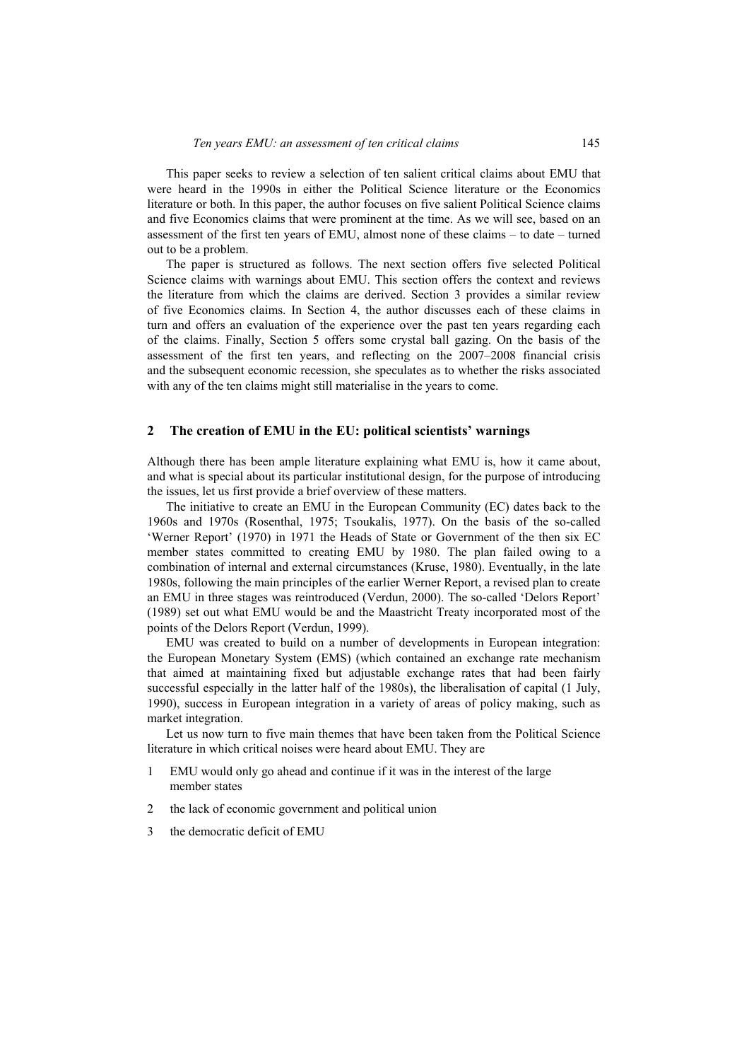This paper seeks to review a selection of ten salient critical claims about EMU that were heard in the 1990s in either the Political Science literature or the Economics literature or both. In this paper, the author focuses on five salient Political Science claims and five Economics claims that were prominent at the time. As we will see, based on an assessment of the first ten years of EMU, almost none of these claims – to date – turned out to be a problem.

The paper is structured as follows. The next section offers five selected Political Science claims with warnings about EMU. This section offers the context and reviews the literature from which the claims are derived. Section 3 provides a similar review of five Economics claims. In Section 4, the author discusses each of these claims in turn and offers an evaluation of the experience over the past ten years regarding each of the claims. Finally, Section 5 offers some crystal ball gazing. On the basis of the assessment of the first ten years, and reflecting on the 2007–2008 financial crisis and the subsequent economic recession, she speculates as to whether the risks associated with any of the ten claims might still materialise in the years to come.

#### **2 The creation of EMU in the EU: political scientists' warnings**

Although there has been ample literature explaining what EMU is, how it came about, and what is special about its particular institutional design, for the purpose of introducing the issues, let us first provide a brief overview of these matters.

The initiative to create an EMU in the European Community (EC) dates back to the 1960s and 1970s (Rosenthal, 1975; Tsoukalis, 1977). On the basis of the so-called 'Werner Report' (1970) in 1971 the Heads of State or Government of the then six EC member states committed to creating EMU by 1980. The plan failed owing to a combination of internal and external circumstances (Kruse, 1980). Eventually, in the late 1980s, following the main principles of the earlier Werner Report, a revised plan to create an EMU in three stages was reintroduced (Verdun, 2000). The so-called 'Delors Report' (1989) set out what EMU would be and the Maastricht Treaty incorporated most of the points of the Delors Report (Verdun, 1999).

EMU was created to build on a number of developments in European integration: the European Monetary System (EMS) (which contained an exchange rate mechanism that aimed at maintaining fixed but adjustable exchange rates that had been fairly successful especially in the latter half of the 1980s), the liberalisation of capital (1 July, 1990), success in European integration in a variety of areas of policy making, such as market integration.

Let us now turn to five main themes that have been taken from the Political Science literature in which critical noises were heard about EMU. They are

- 1 EMU would only go ahead and continue if it was in the interest of the large member states
- 2 the lack of economic government and political union
- 3 the democratic deficit of EMU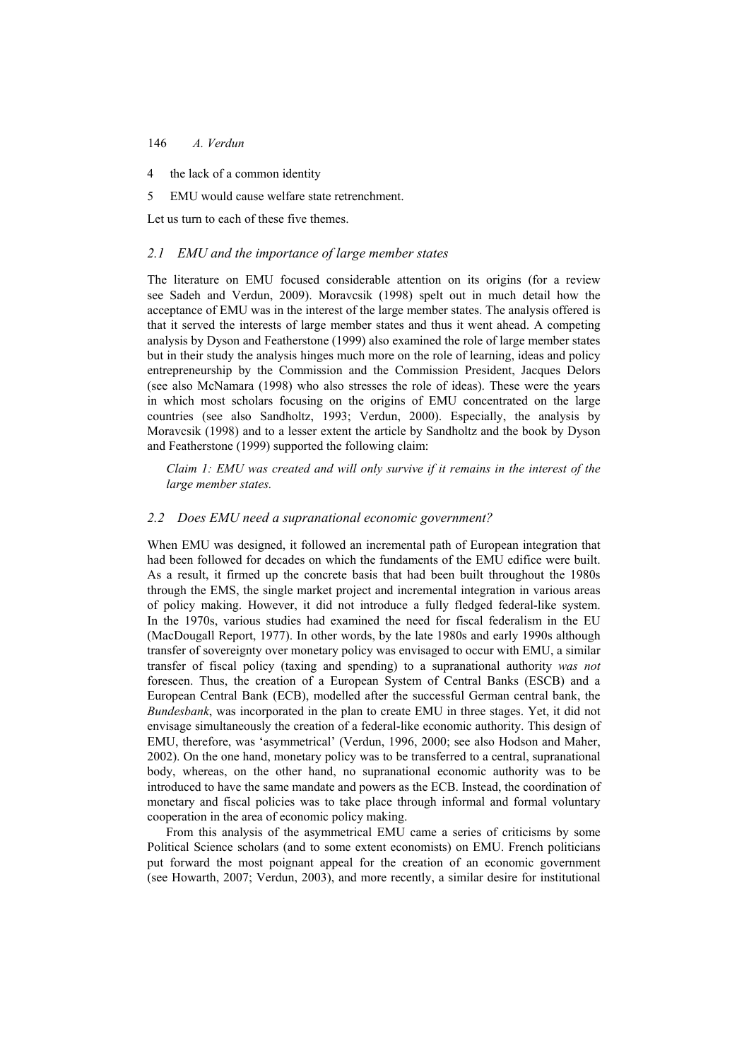- 4 the lack of a common identity
- 5 EMU would cause welfare state retrenchment.

Let us turn to each of these five themes.

### *2.1 EMU and the importance of large member states*

The literature on EMU focused considerable attention on its origins (for a review see Sadeh and Verdun, 2009). Moravcsik (1998) spelt out in much detail how the acceptance of EMU was in the interest of the large member states. The analysis offered is that it served the interests of large member states and thus it went ahead. A competing analysis by Dyson and Featherstone (1999) also examined the role of large member states but in their study the analysis hinges much more on the role of learning, ideas and policy entrepreneurship by the Commission and the Commission President, Jacques Delors (see also McNamara (1998) who also stresses the role of ideas). These were the years in which most scholars focusing on the origins of EMU concentrated on the large countries (see also Sandholtz, 1993; Verdun, 2000). Especially, the analysis by Moravcsik (1998) and to a lesser extent the article by Sandholtz and the book by Dyson and Featherstone (1999) supported the following claim:

*Claim 1: EMU was created and will only survive if it remains in the interest of the large member states.* 

### *2.2 Does EMU need a supranational economic government?*

When EMU was designed, it followed an incremental path of European integration that had been followed for decades on which the fundaments of the EMU edifice were built. As a result, it firmed up the concrete basis that had been built throughout the 1980s through the EMS, the single market project and incremental integration in various areas of policy making. However, it did not introduce a fully fledged federal-like system. In the 1970s, various studies had examined the need for fiscal federalism in the EU (MacDougall Report, 1977). In other words, by the late 1980s and early 1990s although transfer of sovereignty over monetary policy was envisaged to occur with EMU, a similar transfer of fiscal policy (taxing and spending) to a supranational authority *was not*  foreseen. Thus, the creation of a European System of Central Banks (ESCB) and a European Central Bank (ECB), modelled after the successful German central bank, the *Bundesbank*, was incorporated in the plan to create EMU in three stages. Yet, it did not envisage simultaneously the creation of a federal-like economic authority. This design of EMU, therefore, was 'asymmetrical' (Verdun, 1996, 2000; see also Hodson and Maher, 2002). On the one hand, monetary policy was to be transferred to a central, supranational body, whereas, on the other hand, no supranational economic authority was to be introduced to have the same mandate and powers as the ECB. Instead, the coordination of monetary and fiscal policies was to take place through informal and formal voluntary cooperation in the area of economic policy making.

From this analysis of the asymmetrical EMU came a series of criticisms by some Political Science scholars (and to some extent economists) on EMU. French politicians put forward the most poignant appeal for the creation of an economic government (see Howarth, 2007; Verdun, 2003), and more recently, a similar desire for institutional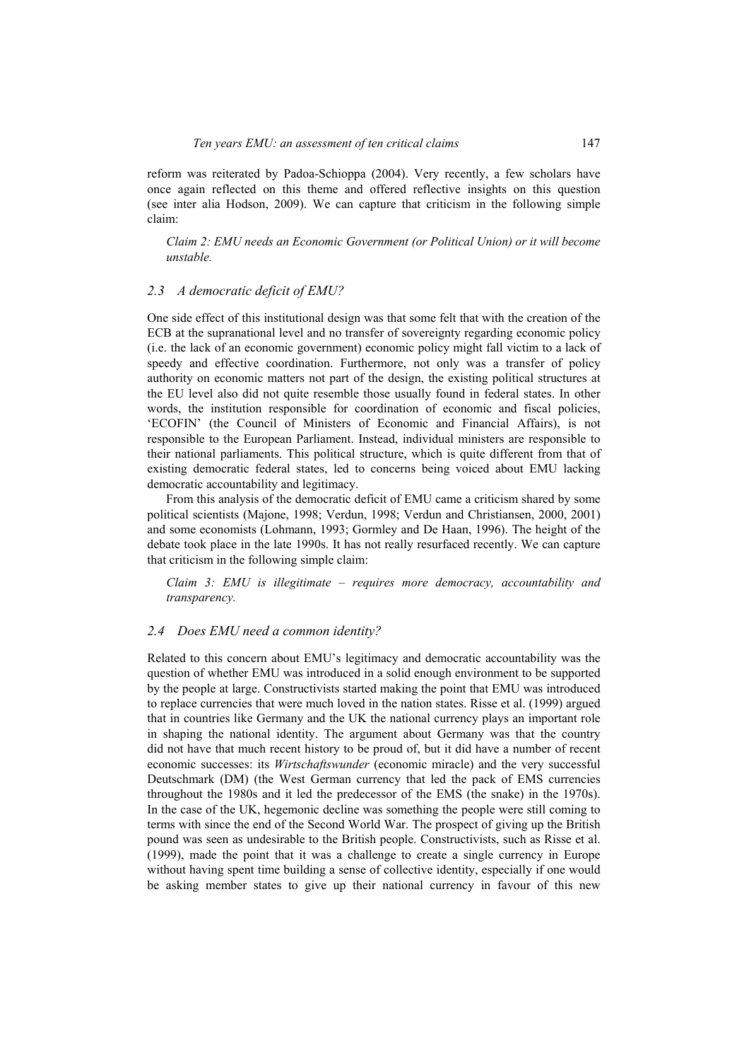reform was reiterated by Padoa-Schioppa (2004). Very recently, a few scholars have once again reflected on this theme and offered reflective insights on this question (see inter alia Hodson, 2009). We can capture that criticism in the following simple claim:

*Claim 2: EMU needs an Economic Government (or Political Union) or it will become unstable.* 

### *2.3 A democratic deficit of EMU?*

One side effect of this institutional design was that some felt that with the creation of the ECB at the supranational level and no transfer of sovereignty regarding economic policy (i.e. the lack of an economic government) economic policy might fall victim to a lack of speedy and effective coordination. Furthermore, not only was a transfer of policy authority on economic matters not part of the design, the existing political structures at the EU level also did not quite resemble those usually found in federal states. In other words, the institution responsible for coordination of economic and fiscal policies, 'ECOFIN' (the Council of Ministers of Economic and Financial Affairs), is not responsible to the European Parliament. Instead, individual ministers are responsible to their national parliaments. This political structure, which is quite different from that of existing democratic federal states, led to concerns being voiced about EMU lacking democratic accountability and legitimacy.

From this analysis of the democratic deficit of EMU came a criticism shared by some political scientists (Majone, 1998; Verdun, 1998; Verdun and Christiansen, 2000, 2001) and some economists (Lohmann, 1993; Gormley and De Haan, 1996). The height of the debate took place in the late 1990s. It has not really resurfaced recently. We can capture that criticism in the following simple claim:

*Claim 3: EMU is illegitimate – requires more democracy, accountability and transparency.* 

#### *2.4 Does EMU need a common identity?*

Related to this concern about EMU's legitimacy and democratic accountability was the question of whether EMU was introduced in a solid enough environment to be supported by the people at large. Constructivists started making the point that EMU was introduced to replace currencies that were much loved in the nation states. Risse et al. (1999) argued that in countries like Germany and the UK the national currency plays an important role in shaping the national identity. The argument about Germany was that the country did not have that much recent history to be proud of, but it did have a number of recent economic successes: its *Wirtschaftswunder* (economic miracle) and the very successful Deutschmark (DM) (the West German currency that led the pack of EMS currencies throughout the 1980s and it led the predecessor of the EMS (the snake) in the 1970s). In the case of the UK, hegemonic decline was something the people were still coming to terms with since the end of the Second World War. The prospect of giving up the British pound was seen as undesirable to the British people. Constructivists, such as Risse et al. (1999), made the point that it was a challenge to create a single currency in Europe without having spent time building a sense of collective identity, especially if one would be asking member states to give up their national currency in favour of this new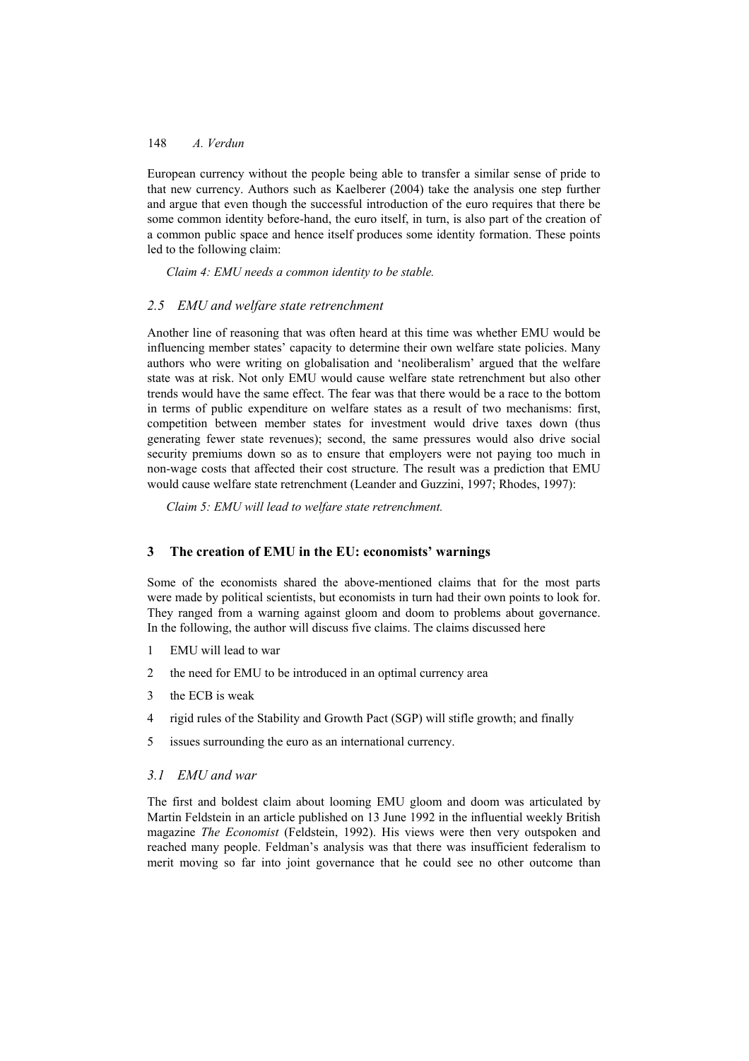European currency without the people being able to transfer a similar sense of pride to that new currency. Authors such as Kaelberer (2004) take the analysis one step further and argue that even though the successful introduction of the euro requires that there be some common identity before-hand, the euro itself, in turn, is also part of the creation of a common public space and hence itself produces some identity formation. These points led to the following claim:

*Claim 4: EMU needs a common identity to be stable.* 

### *2.5 EMU and welfare state retrenchment*

Another line of reasoning that was often heard at this time was whether EMU would be influencing member states' capacity to determine their own welfare state policies. Many authors who were writing on globalisation and 'neoliberalism' argued that the welfare state was at risk. Not only EMU would cause welfare state retrenchment but also other trends would have the same effect. The fear was that there would be a race to the bottom in terms of public expenditure on welfare states as a result of two mechanisms: first, competition between member states for investment would drive taxes down (thus generating fewer state revenues); second, the same pressures would also drive social security premiums down so as to ensure that employers were not paying too much in non-wage costs that affected their cost structure. The result was a prediction that EMU would cause welfare state retrenchment (Leander and Guzzini, 1997; Rhodes, 1997):

*Claim 5: EMU will lead to welfare state retrenchment.* 

### **3 The creation of EMU in the EU: economists' warnings**

Some of the economists shared the above-mentioned claims that for the most parts were made by political scientists, but economists in turn had their own points to look for. They ranged from a warning against gloom and doom to problems about governance. In the following, the author will discuss five claims. The claims discussed here

- 1 EMU will lead to war
- 2 the need for EMU to be introduced in an optimal currency area
- 3 the ECB is weak
- 4 rigid rules of the Stability and Growth Pact (SGP) will stifle growth; and finally
- 5 issues surrounding the euro as an international currency.

### *3.1 EMU and war*

The first and boldest claim about looming EMU gloom and doom was articulated by Martin Feldstein in an article published on 13 June 1992 in the influential weekly British magazine *The Economist* (Feldstein, 1992). His views were then very outspoken and reached many people. Feldman's analysis was that there was insufficient federalism to merit moving so far into joint governance that he could see no other outcome than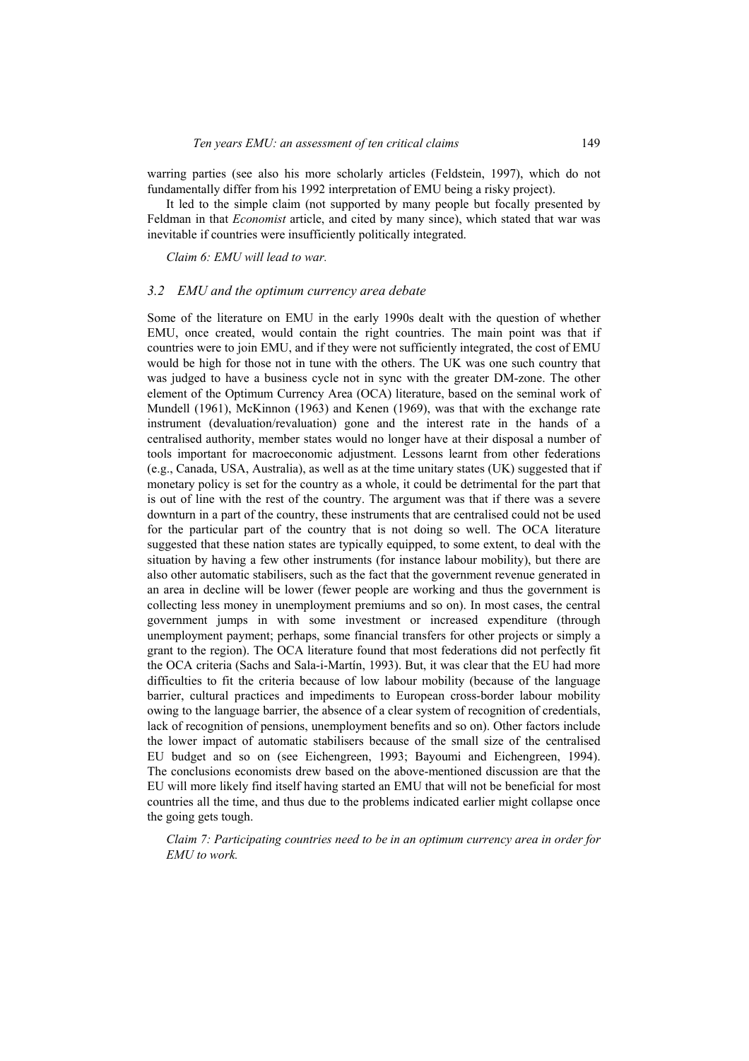warring parties (see also his more scholarly articles (Feldstein, 1997), which do not fundamentally differ from his 1992 interpretation of EMU being a risky project).

It led to the simple claim (not supported by many people but focally presented by Feldman in that *Economist* article, and cited by many since), which stated that war was inevitable if countries were insufficiently politically integrated.

*Claim 6: EMU will lead to war.* 

### *3.2 EMU and the optimum currency area debate*

Some of the literature on EMU in the early 1990s dealt with the question of whether EMU, once created, would contain the right countries. The main point was that if countries were to join EMU, and if they were not sufficiently integrated, the cost of EMU would be high for those not in tune with the others. The UK was one such country that was judged to have a business cycle not in sync with the greater DM-zone. The other element of the Optimum Currency Area (OCA) literature, based on the seminal work of Mundell (1961), McKinnon (1963) and Kenen (1969), was that with the exchange rate instrument (devaluation/revaluation) gone and the interest rate in the hands of a centralised authority, member states would no longer have at their disposal a number of tools important for macroeconomic adjustment. Lessons learnt from other federations (e.g., Canada, USA, Australia), as well as at the time unitary states (UK) suggested that if monetary policy is set for the country as a whole, it could be detrimental for the part that is out of line with the rest of the country. The argument was that if there was a severe downturn in a part of the country, these instruments that are centralised could not be used for the particular part of the country that is not doing so well. The OCA literature suggested that these nation states are typically equipped, to some extent, to deal with the situation by having a few other instruments (for instance labour mobility), but there are also other automatic stabilisers, such as the fact that the government revenue generated in an area in decline will be lower (fewer people are working and thus the government is collecting less money in unemployment premiums and so on). In most cases, the central government jumps in with some investment or increased expenditure (through unemployment payment; perhaps, some financial transfers for other projects or simply a grant to the region). The OCA literature found that most federations did not perfectly fit the OCA criteria (Sachs and Sala-i-Martín, 1993). But, it was clear that the EU had more difficulties to fit the criteria because of low labour mobility (because of the language barrier, cultural practices and impediments to European cross-border labour mobility owing to the language barrier, the absence of a clear system of recognition of credentials, lack of recognition of pensions, unemployment benefits and so on). Other factors include the lower impact of automatic stabilisers because of the small size of the centralised EU budget and so on (see Eichengreen, 1993; Bayoumi and Eichengreen, 1994). The conclusions economists drew based on the above-mentioned discussion are that the EU will more likely find itself having started an EMU that will not be beneficial for most countries all the time, and thus due to the problems indicated earlier might collapse once the going gets tough.

*Claim 7: Participating countries need to be in an optimum currency area in order for EMU to work.*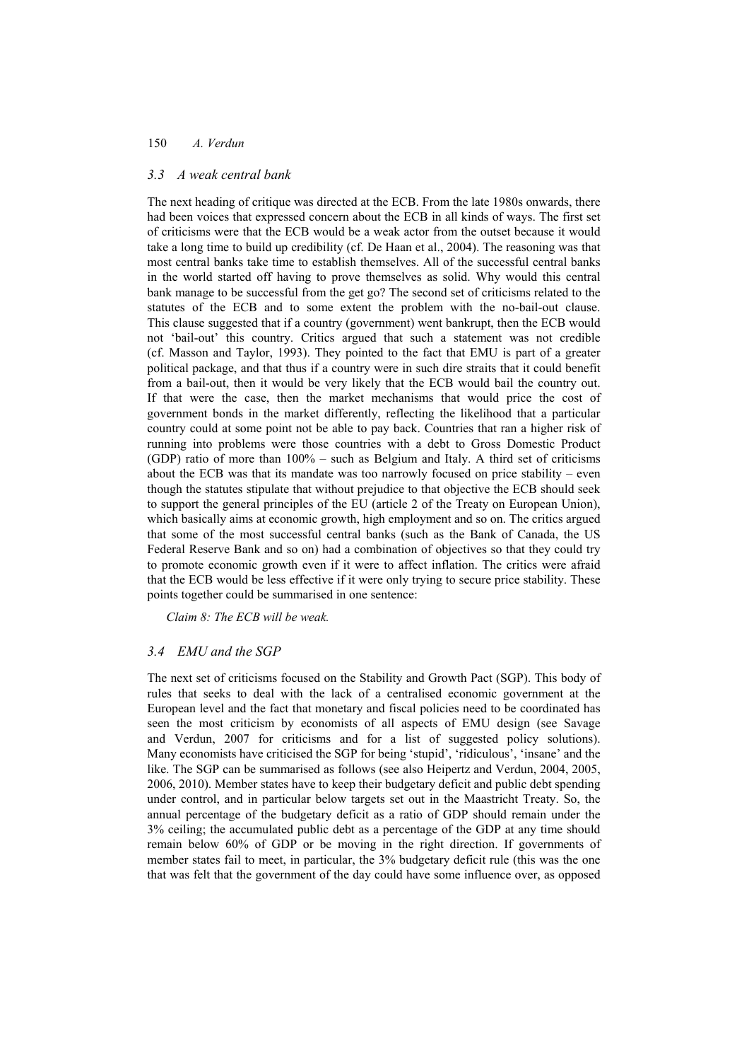### *3.3 A weak central bank*

The next heading of critique was directed at the ECB. From the late 1980s onwards, there had been voices that expressed concern about the ECB in all kinds of ways. The first set of criticisms were that the ECB would be a weak actor from the outset because it would take a long time to build up credibility (cf. De Haan et al., 2004). The reasoning was that most central banks take time to establish themselves. All of the successful central banks in the world started off having to prove themselves as solid. Why would this central bank manage to be successful from the get go? The second set of criticisms related to the statutes of the ECB and to some extent the problem with the no-bail-out clause. This clause suggested that if a country (government) went bankrupt, then the ECB would not 'bail-out' this country. Critics argued that such a statement was not credible (cf. Masson and Taylor, 1993). They pointed to the fact that EMU is part of a greater political package, and that thus if a country were in such dire straits that it could benefit from a bail-out, then it would be very likely that the ECB would bail the country out. If that were the case, then the market mechanisms that would price the cost of government bonds in the market differently, reflecting the likelihood that a particular country could at some point not be able to pay back. Countries that ran a higher risk of running into problems were those countries with a debt to Gross Domestic Product (GDP) ratio of more than 100% – such as Belgium and Italy. A third set of criticisms about the ECB was that its mandate was too narrowly focused on price stability – even though the statutes stipulate that without prejudice to that objective the ECB should seek to support the general principles of the EU (article 2 of the Treaty on European Union), which basically aims at economic growth, high employment and so on. The critics argued that some of the most successful central banks (such as the Bank of Canada, the US Federal Reserve Bank and so on) had a combination of objectives so that they could try to promote economic growth even if it were to affect inflation. The critics were afraid that the ECB would be less effective if it were only trying to secure price stability. These points together could be summarised in one sentence:

*Claim 8: The ECB will be weak.* 

### *3.4 EMU and the SGP*

The next set of criticisms focused on the Stability and Growth Pact (SGP). This body of rules that seeks to deal with the lack of a centralised economic government at the European level and the fact that monetary and fiscal policies need to be coordinated has seen the most criticism by economists of all aspects of EMU design (see Savage and Verdun, 2007 for criticisms and for a list of suggested policy solutions). Many economists have criticised the SGP for being 'stupid', 'ridiculous', 'insane' and the like. The SGP can be summarised as follows (see also Heipertz and Verdun, 2004, 2005, 2006, 2010). Member states have to keep their budgetary deficit and public debt spending under control, and in particular below targets set out in the Maastricht Treaty. So, the annual percentage of the budgetary deficit as a ratio of GDP should remain under the 3% ceiling; the accumulated public debt as a percentage of the GDP at any time should remain below 60% of GDP or be moving in the right direction. If governments of member states fail to meet, in particular, the 3% budgetary deficit rule (this was the one that was felt that the government of the day could have some influence over, as opposed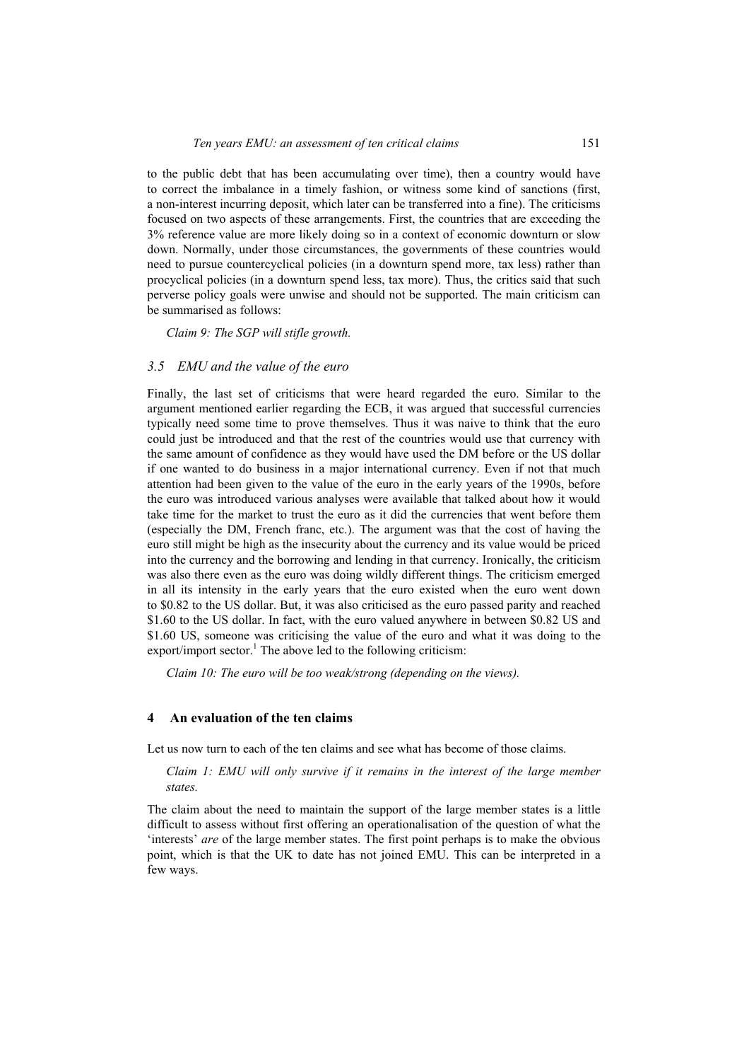to the public debt that has been accumulating over time), then a country would have to correct the imbalance in a timely fashion, or witness some kind of sanctions (first, a non-interest incurring deposit, which later can be transferred into a fine). The criticisms focused on two aspects of these arrangements. First, the countries that are exceeding the 3% reference value are more likely doing so in a context of economic downturn or slow down. Normally, under those circumstances, the governments of these countries would need to pursue countercyclical policies (in a downturn spend more, tax less) rather than procyclical policies (in a downturn spend less, tax more). Thus, the critics said that such perverse policy goals were unwise and should not be supported. The main criticism can be summarised as follows:

*Claim 9: The SGP will stifle growth.* 

### *3.5 EMU and the value of the euro*

Finally, the last set of criticisms that were heard regarded the euro. Similar to the argument mentioned earlier regarding the ECB, it was argued that successful currencies typically need some time to prove themselves. Thus it was naive to think that the euro could just be introduced and that the rest of the countries would use that currency with the same amount of confidence as they would have used the DM before or the US dollar if one wanted to do business in a major international currency. Even if not that much attention had been given to the value of the euro in the early years of the 1990s, before the euro was introduced various analyses were available that talked about how it would take time for the market to trust the euro as it did the currencies that went before them (especially the DM, French franc, etc.). The argument was that the cost of having the euro still might be high as the insecurity about the currency and its value would be priced into the currency and the borrowing and lending in that currency. Ironically, the criticism was also there even as the euro was doing wildly different things. The criticism emerged in all its intensity in the early years that the euro existed when the euro went down to \$0.82 to the US dollar. But, it was also criticised as the euro passed parity and reached \$1.60 to the US dollar. In fact, with the euro valued anywhere in between \$0.82 US and \$1.60 US, someone was criticising the value of the euro and what it was doing to the  $export/import sector.<sup>1</sup>$  The above led to the following criticism:

*Claim 10: The euro will be too weak/strong (depending on the views).* 

### **4 An evaluation of the ten claims**

Let us now turn to each of the ten claims and see what has become of those claims.

*Claim 1: EMU will only survive if it remains in the interest of the large member states.* 

The claim about the need to maintain the support of the large member states is a little difficult to assess without first offering an operationalisation of the question of what the 'interests' *are* of the large member states. The first point perhaps is to make the obvious point, which is that the UK to date has not joined EMU. This can be interpreted in a few ways.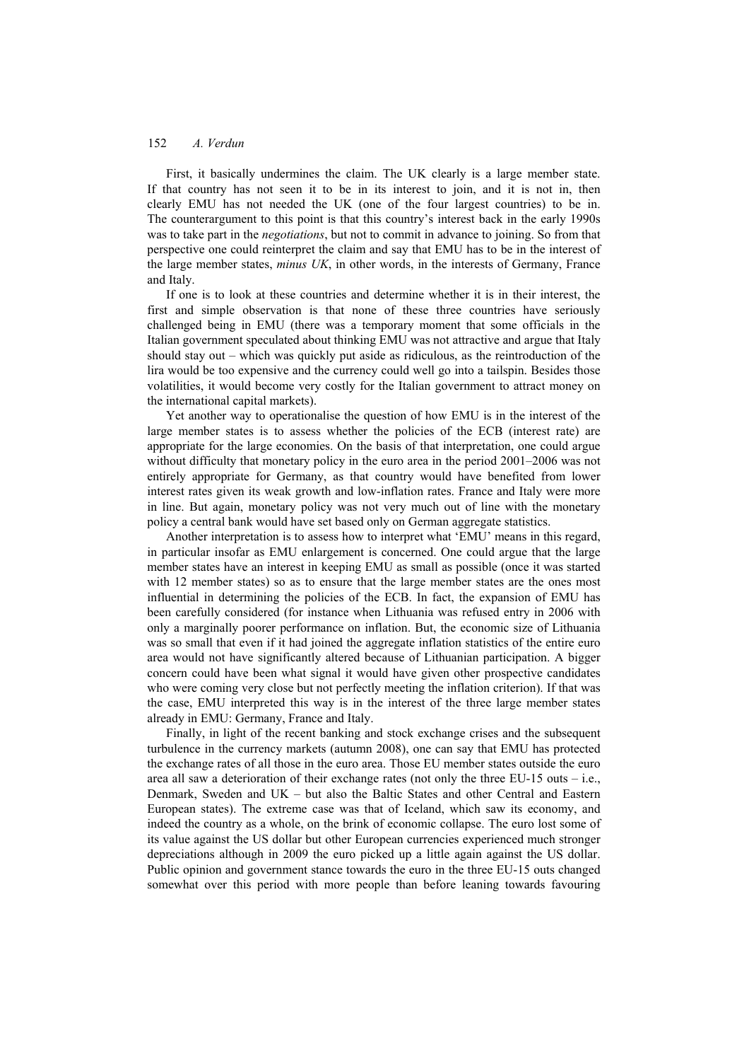First, it basically undermines the claim. The UK clearly is a large member state. If that country has not seen it to be in its interest to join, and it is not in, then clearly EMU has not needed the UK (one of the four largest countries) to be in. The counterargument to this point is that this country's interest back in the early 1990s was to take part in the *negotiations*, but not to commit in advance to joining. So from that perspective one could reinterpret the claim and say that EMU has to be in the interest of the large member states, *minus UK*, in other words, in the interests of Germany, France and Italy.

If one is to look at these countries and determine whether it is in their interest, the first and simple observation is that none of these three countries have seriously challenged being in EMU (there was a temporary moment that some officials in the Italian government speculated about thinking EMU was not attractive and argue that Italy should stay out – which was quickly put aside as ridiculous, as the reintroduction of the lira would be too expensive and the currency could well go into a tailspin. Besides those volatilities, it would become very costly for the Italian government to attract money on the international capital markets).

Yet another way to operationalise the question of how EMU is in the interest of the large member states is to assess whether the policies of the ECB (interest rate) are appropriate for the large economies. On the basis of that interpretation, one could argue without difficulty that monetary policy in the euro area in the period 2001–2006 was not entirely appropriate for Germany, as that country would have benefited from lower interest rates given its weak growth and low-inflation rates. France and Italy were more in line. But again, monetary policy was not very much out of line with the monetary policy a central bank would have set based only on German aggregate statistics.

Another interpretation is to assess how to interpret what 'EMU' means in this regard, in particular insofar as EMU enlargement is concerned. One could argue that the large member states have an interest in keeping EMU as small as possible (once it was started with 12 member states) so as to ensure that the large member states are the ones most influential in determining the policies of the ECB. In fact, the expansion of EMU has been carefully considered (for instance when Lithuania was refused entry in 2006 with only a marginally poorer performance on inflation. But, the economic size of Lithuania was so small that even if it had joined the aggregate inflation statistics of the entire euro area would not have significantly altered because of Lithuanian participation. A bigger concern could have been what signal it would have given other prospective candidates who were coming very close but not perfectly meeting the inflation criterion). If that was the case, EMU interpreted this way is in the interest of the three large member states already in EMU: Germany, France and Italy.

Finally, in light of the recent banking and stock exchange crises and the subsequent turbulence in the currency markets (autumn 2008), one can say that EMU has protected the exchange rates of all those in the euro area. Those EU member states outside the euro area all saw a deterioration of their exchange rates (not only the three EU-15 outs – i.e., Denmark, Sweden and UK – but also the Baltic States and other Central and Eastern European states). The extreme case was that of Iceland, which saw its economy, and indeed the country as a whole, on the brink of economic collapse. The euro lost some of its value against the US dollar but other European currencies experienced much stronger depreciations although in 2009 the euro picked up a little again against the US dollar. Public opinion and government stance towards the euro in the three EU-15 outs changed somewhat over this period with more people than before leaning towards favouring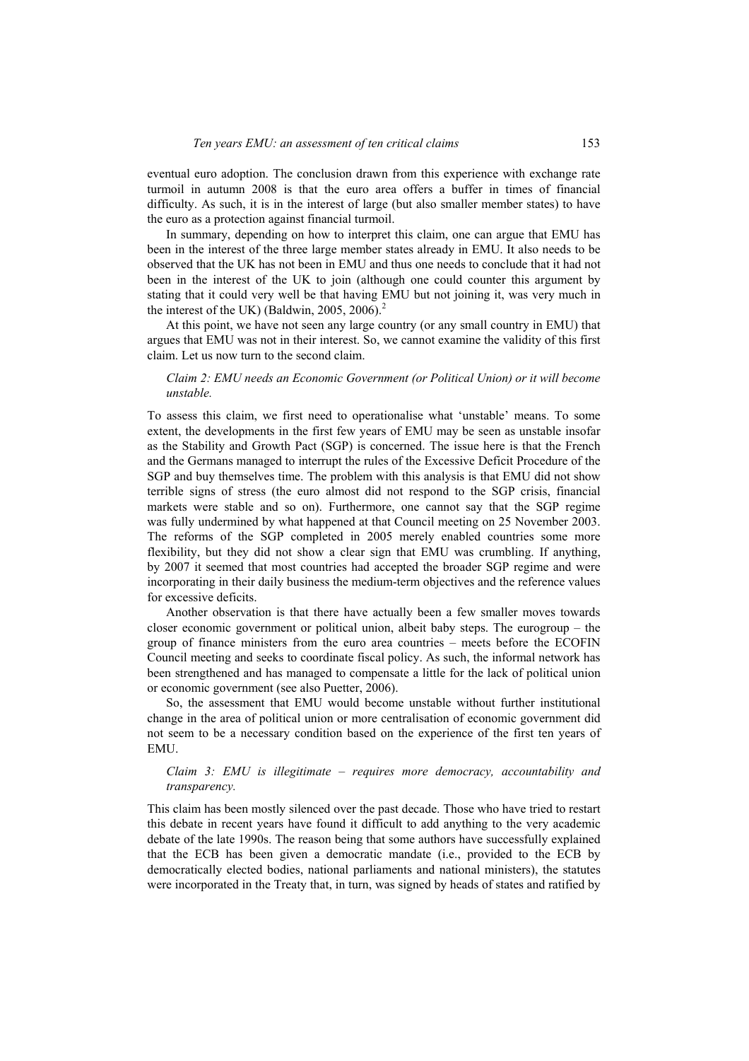eventual euro adoption. The conclusion drawn from this experience with exchange rate turmoil in autumn 2008 is that the euro area offers a buffer in times of financial difficulty. As such, it is in the interest of large (but also smaller member states) to have the euro as a protection against financial turmoil.

In summary, depending on how to interpret this claim, one can argue that EMU has been in the interest of the three large member states already in EMU. It also needs to be observed that the UK has not been in EMU and thus one needs to conclude that it had not been in the interest of the UK to join (although one could counter this argument by stating that it could very well be that having EMU but not joining it, was very much in the interest of the UK) (Baldwin, 2005, 2006).<sup>2</sup>

At this point, we have not seen any large country (or any small country in EMU) that argues that EMU was not in their interest. So, we cannot examine the validity of this first claim. Let us now turn to the second claim.

# *Claim 2: EMU needs an Economic Government (or Political Union) or it will become unstable.*

To assess this claim, we first need to operationalise what 'unstable' means. To some extent, the developments in the first few years of EMU may be seen as unstable insofar as the Stability and Growth Pact (SGP) is concerned. The issue here is that the French and the Germans managed to interrupt the rules of the Excessive Deficit Procedure of the SGP and buy themselves time. The problem with this analysis is that EMU did not show terrible signs of stress (the euro almost did not respond to the SGP crisis, financial markets were stable and so on). Furthermore, one cannot say that the SGP regime was fully undermined by what happened at that Council meeting on 25 November 2003. The reforms of the SGP completed in 2005 merely enabled countries some more flexibility, but they did not show a clear sign that EMU was crumbling. If anything, by 2007 it seemed that most countries had accepted the broader SGP regime and were incorporating in their daily business the medium-term objectives and the reference values for excessive deficits.

Another observation is that there have actually been a few smaller moves towards closer economic government or political union, albeit baby steps. The eurogroup – the group of finance ministers from the euro area countries – meets before the ECOFIN Council meeting and seeks to coordinate fiscal policy. As such, the informal network has been strengthened and has managed to compensate a little for the lack of political union or economic government (see also Puetter, 2006).

So, the assessment that EMU would become unstable without further institutional change in the area of political union or more centralisation of economic government did not seem to be a necessary condition based on the experience of the first ten years of EMU.

### *Claim 3: EMU is illegitimate – requires more democracy, accountability and transparency.*

This claim has been mostly silenced over the past decade. Those who have tried to restart this debate in recent years have found it difficult to add anything to the very academic debate of the late 1990s. The reason being that some authors have successfully explained that the ECB has been given a democratic mandate (i.e., provided to the ECB by democratically elected bodies, national parliaments and national ministers), the statutes were incorporated in the Treaty that, in turn, was signed by heads of states and ratified by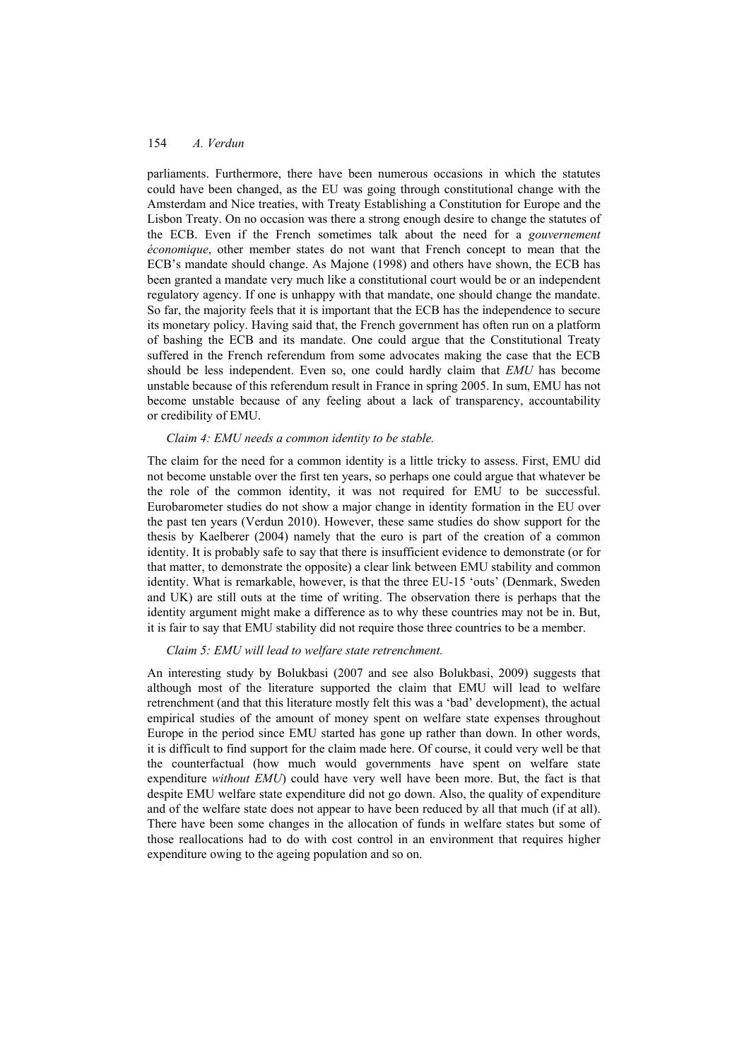parliaments. Furthermore, there have been numerous occasions in which the statutes could have been changed, as the EU was going through constitutional change with the Amsterdam and Nice treaties, with Treaty Establishing a Constitution for Europe and the Lisbon Treaty. On no occasion was there a strong enough desire to change the statutes of the ECB. Even if the French sometimes talk about the need for a *gouvernement économique*, other member states do not want that French concept to mean that the ECB's mandate should change. As Majone (1998) and others have shown, the ECB has been granted a mandate very much like a constitutional court would be or an independent regulatory agency. If one is unhappy with that mandate, one should change the mandate. So far, the majority feels that it is important that the ECB has the independence to secure its monetary policy. Having said that, the French government has often run on a platform of bashing the ECB and its mandate. One could argue that the Constitutional Treaty suffered in the French referendum from some advocates making the case that the ECB should be less independent. Even so, one could hardly claim that *EMU* has become unstable because of this referendum result in France in spring 2005. In sum, EMU has not become unstable because of any feeling about a lack of transparency, accountability or credibility of EMU.

### *Claim 4: EMU needs a common identity to be stable.*

The claim for the need for a common identity is a little tricky to assess. First, EMU did not become unstable over the first ten years, so perhaps one could argue that whatever be the role of the common identity, it was not required for EMU to be successful. Eurobarometer studies do not show a major change in identity formation in the EU over the past ten years (Verdun 2010). However, these same studies do show support for the thesis by Kaelberer (2004) namely that the euro is part of the creation of a common identity. It is probably safe to say that there is insufficient evidence to demonstrate (or for that matter, to demonstrate the opposite) a clear link between EMU stability and common identity. What is remarkable, however, is that the three EU-15 'outs' (Denmark, Sweden and UK) are still outs at the time of writing. The observation there is perhaps that the identity argument might make a difference as to why these countries may not be in. But, it is fair to say that EMU stability did not require those three countries to be a member.

#### *Claim 5: EMU will lead to welfare state retrenchment.*

An interesting study by Bolukbasi (2007 and see also Bolukbasi, 2009) suggests that although most of the literature supported the claim that EMU will lead to welfare retrenchment (and that this literature mostly felt this was a 'bad' development), the actual empirical studies of the amount of money spent on welfare state expenses throughout Europe in the period since EMU started has gone up rather than down. In other words, it is difficult to find support for the claim made here. Of course, it could very well be that the counterfactual (how much would governments have spent on welfare state expenditure *without EMU*) could have very well have been more. But, the fact is that despite EMU welfare state expenditure did not go down. Also, the quality of expenditure and of the welfare state does not appear to have been reduced by all that much (if at all). There have been some changes in the allocation of funds in welfare states but some of those reallocations had to do with cost control in an environment that requires higher expenditure owing to the ageing population and so on.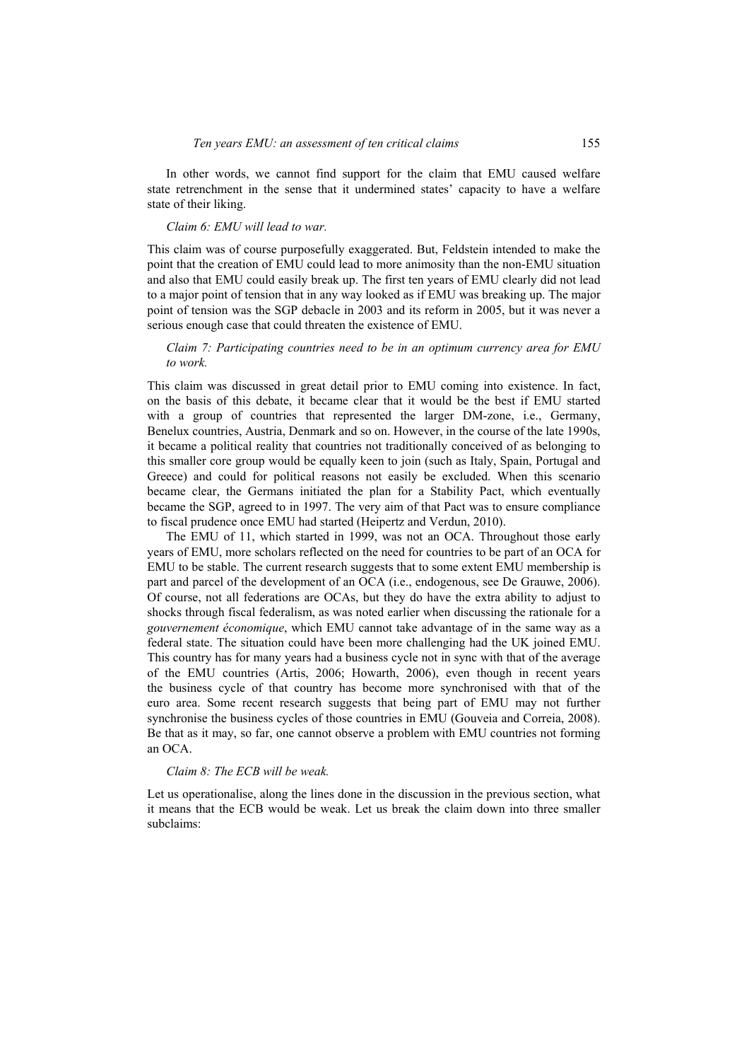In other words, we cannot find support for the claim that EMU caused welfare state retrenchment in the sense that it undermined states' capacity to have a welfare state of their liking.

### *Claim 6: EMU will lead to war.*

This claim was of course purposefully exaggerated. But, Feldstein intended to make the point that the creation of EMU could lead to more animosity than the non-EMU situation and also that EMU could easily break up. The first ten years of EMU clearly did not lead to a major point of tension that in any way looked as if EMU was breaking up. The major point of tension was the SGP debacle in 2003 and its reform in 2005, but it was never a serious enough case that could threaten the existence of EMU.

### *Claim 7: Participating countries need to be in an optimum currency area for EMU to work.*

This claim was discussed in great detail prior to EMU coming into existence. In fact, on the basis of this debate, it became clear that it would be the best if EMU started with a group of countries that represented the larger DM-zone, i.e., Germany, Benelux countries, Austria, Denmark and so on. However, in the course of the late 1990s, it became a political reality that countries not traditionally conceived of as belonging to this smaller core group would be equally keen to join (such as Italy, Spain, Portugal and Greece) and could for political reasons not easily be excluded. When this scenario became clear, the Germans initiated the plan for a Stability Pact, which eventually became the SGP, agreed to in 1997. The very aim of that Pact was to ensure compliance to fiscal prudence once EMU had started (Heipertz and Verdun, 2010).

The EMU of 11, which started in 1999, was not an OCA. Throughout those early years of EMU, more scholars reflected on the need for countries to be part of an OCA for EMU to be stable. The current research suggests that to some extent EMU membership is part and parcel of the development of an OCA (i.e., endogenous, see De Grauwe, 2006). Of course, not all federations are OCAs, but they do have the extra ability to adjust to shocks through fiscal federalism, as was noted earlier when discussing the rationale for a *gouvernement économique*, which EMU cannot take advantage of in the same way as a federal state. The situation could have been more challenging had the UK joined EMU. This country has for many years had a business cycle not in sync with that of the average of the EMU countries (Artis, 2006; Howarth, 2006), even though in recent years the business cycle of that country has become more synchronised with that of the euro area. Some recent research suggests that being part of EMU may not further synchronise the business cycles of those countries in EMU (Gouveia and Correia, 2008). Be that as it may, so far, one cannot observe a problem with EMU countries not forming an OCA.

### *Claim 8: The ECB will be weak.*

Let us operationalise, along the lines done in the discussion in the previous section, what it means that the ECB would be weak. Let us break the claim down into three smaller subclaims: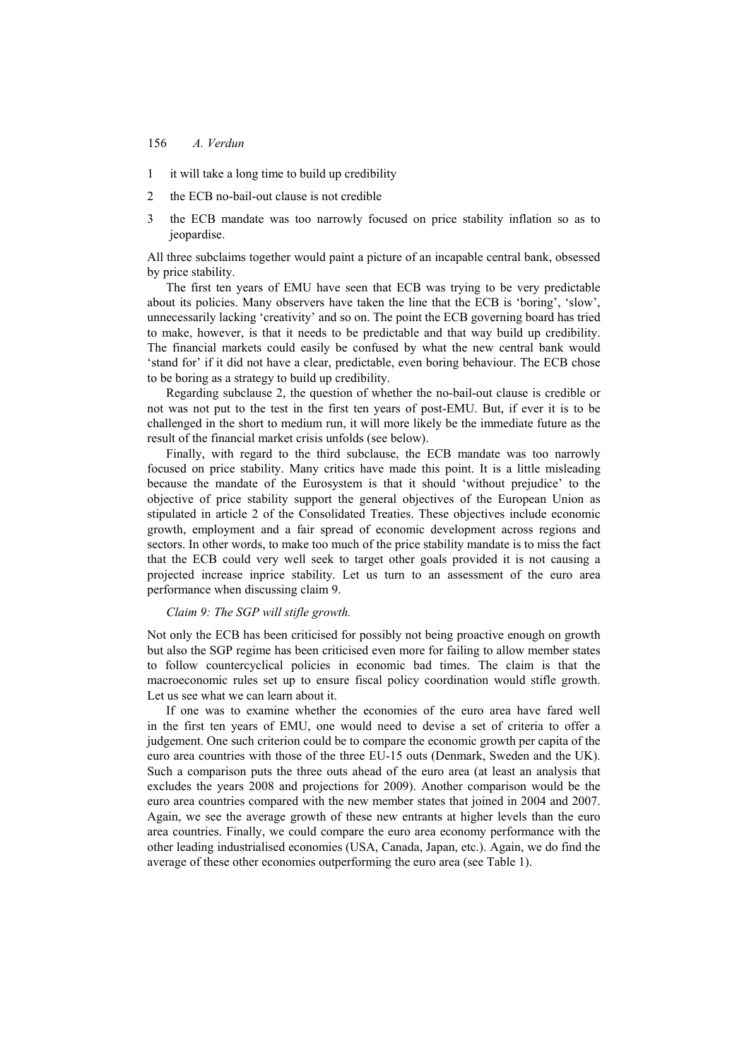- 1 it will take a long time to build up credibility
- 2 the ECB no-bail-out clause is not credible
- 3 the ECB mandate was too narrowly focused on price stability inflation so as to jeopardise.

All three subclaims together would paint a picture of an incapable central bank, obsessed by price stability.

The first ten years of EMU have seen that ECB was trying to be very predictable about its policies. Many observers have taken the line that the ECB is 'boring', 'slow', unnecessarily lacking 'creativity' and so on. The point the ECB governing board has tried to make, however, is that it needs to be predictable and that way build up credibility. The financial markets could easily be confused by what the new central bank would 'stand for' if it did not have a clear, predictable, even boring behaviour. The ECB chose to be boring as a strategy to build up credibility.

Regarding subclause 2, the question of whether the no-bail-out clause is credible or not was not put to the test in the first ten years of post-EMU. But, if ever it is to be challenged in the short to medium run, it will more likely be the immediate future as the result of the financial market crisis unfolds (see below).

Finally, with regard to the third subclause, the ECB mandate was too narrowly focused on price stability. Many critics have made this point. It is a little misleading because the mandate of the Eurosystem is that it should 'without prejudice' to the objective of price stability support the general objectives of the European Union as stipulated in article 2 of the Consolidated Treaties. These objectives include economic growth, employment and a fair spread of economic development across regions and sectors. In other words, to make too much of the price stability mandate is to miss the fact that the ECB could very well seek to target other goals provided it is not causing a projected increase inprice stability. Let us turn to an assessment of the euro area performance when discussing claim 9.

### *Claim 9: The SGP will stifle growth.*

Not only the ECB has been criticised for possibly not being proactive enough on growth but also the SGP regime has been criticised even more for failing to allow member states to follow countercyclical policies in economic bad times. The claim is that the macroeconomic rules set up to ensure fiscal policy coordination would stifle growth. Let us see what we can learn about it.

If one was to examine whether the economies of the euro area have fared well in the first ten years of EMU, one would need to devise a set of criteria to offer a judgement. One such criterion could be to compare the economic growth per capita of the euro area countries with those of the three EU-15 outs (Denmark, Sweden and the UK). Such a comparison puts the three outs ahead of the euro area (at least an analysis that excludes the years 2008 and projections for 2009). Another comparison would be the euro area countries compared with the new member states that joined in 2004 and 2007. Again, we see the average growth of these new entrants at higher levels than the euro area countries. Finally, we could compare the euro area economy performance with the other leading industrialised economies (USA, Canada, Japan, etc.). Again, we do find the average of these other economies outperforming the euro area (see Table 1).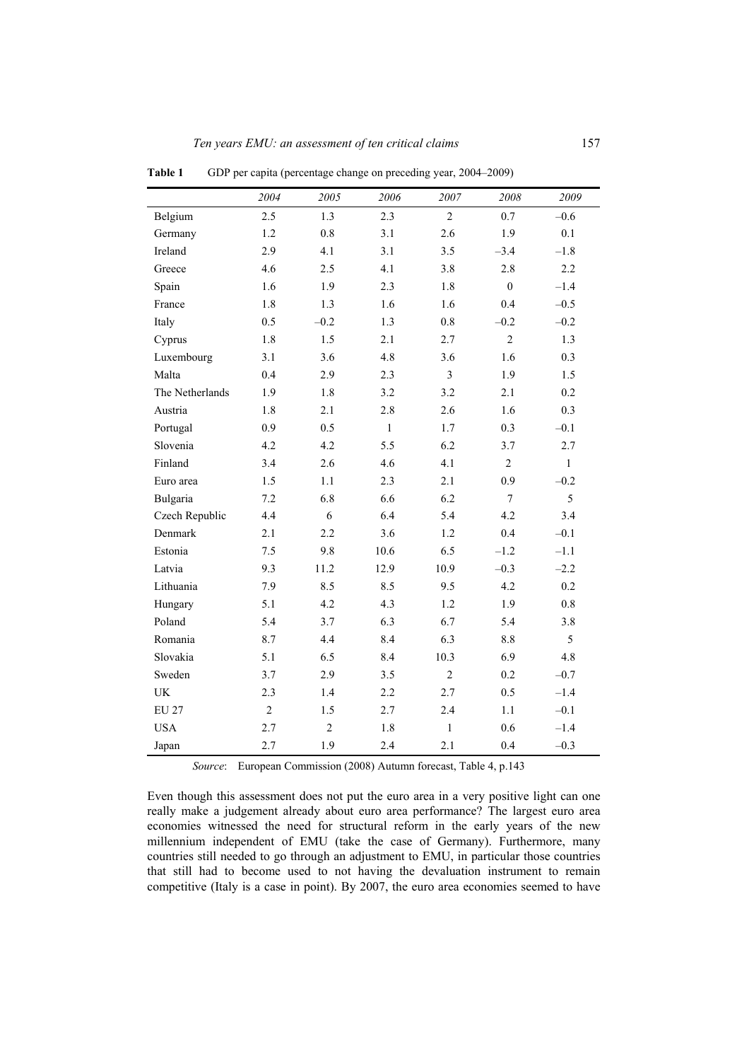|                 | 2004       | 2005           | 2006         | 2007                    | 2008             | 2009         |
|-----------------|------------|----------------|--------------|-------------------------|------------------|--------------|
| Belgium         | 2.5        | 1.3            | 2.3          | $\overline{c}$          | 0.7              | $-0.6$       |
| Germany         | 1.2        | 0.8            | 3.1          | 2.6                     | 1.9              | 0.1          |
| Ireland         | 2.9        | 4.1            | 3.1          | 3.5                     | $-3.4$           | $-1.8$       |
| Greece          | 4.6        | 2.5            | 4.1          | 3.8                     | 2.8              | 2.2          |
| Spain           | 1.6        | 1.9            | 2.3          | 1.8                     | $\boldsymbol{0}$ | $-1.4$       |
| France          | 1.8        | 1.3            | 1.6          | 1.6                     | 0.4              | $-0.5$       |
| Italy           | 0.5        | $-0.2$         | 1.3          | 0.8                     | $-0.2$           | $-0.2$       |
| Cyprus          | 1.8        | 1.5            | 2.1          | 2.7                     | $\overline{c}$   | 1.3          |
| Luxembourg      | 3.1        | 3.6            | 4.8          | 3.6                     | 1.6              | 0.3          |
| Malta           | 0.4        | 2.9            | 2.3          | $\overline{\mathbf{3}}$ | 1.9              | 1.5          |
| The Netherlands | 1.9        | 1.8            | 3.2          | 3.2                     | 2.1              | 0.2          |
| Austria         | 1.8        | 2.1            | 2.8          | 2.6                     | 1.6              | 0.3          |
| Portugal        | 0.9        | 0.5            | $\mathbf{1}$ | 1.7                     | 0.3              | $-0.1$       |
| Slovenia        | 4.2        | 4.2            | 5.5          | 6.2                     | 3.7              | 2.7          |
| Finland         | 3.4        | 2.6            | 4.6          | 4.1                     | $\overline{2}$   | $\mathbf{1}$ |
| Euro area       | 1.5        | 1.1            | 2.3          | 2.1                     | 0.9              | $-0.2$       |
| Bulgaria        | 7.2        | 6.8            | 6.6          | 6.2                     | $\boldsymbol{7}$ | 5            |
| Czech Republic  | 4.4        | 6              | 6.4          | 5.4                     | 4.2              | 3.4          |
| Denmark         | 2.1        | 2.2            | 3.6          | 1.2                     | 0.4              | $-0.1$       |
| Estonia         | 7.5        | 9.8            | 10.6         | 6.5                     | $-1.2$           | $-1.1$       |
| Latvia          | 9.3        | 11.2           | 12.9         | 10.9                    | $-0.3$           | $-2.2$       |
| Lithuania       | 7.9        | 8.5            | 8.5          | 9.5                     | 4.2              | 0.2          |
| Hungary         | 5.1        | 4.2            | 4.3          | 1.2                     | 1.9              | 0.8          |
| Poland          | 5.4        | 3.7            | 6.3          | 6.7                     | 5.4              | 3.8          |
| Romania         | 8.7        | 4.4            | 8.4          | 6.3                     | $8.8\,$          | 5            |
| Slovakia        | 5.1        | 6.5            | 8.4          | 10.3                    | 6.9              | 4.8          |
| Sweden          | 3.7        | 2.9            | 3.5          | $\overline{c}$          | 0.2              | $-0.7$       |
| UK              | 2.3        | 1.4            | 2.2          | 2.7                     | 0.5              | $-1.4$       |
| <b>EU 27</b>    | $\sqrt{2}$ | 1.5            | 2.7          | 2.4                     | 1.1              | $-0.1$       |
| <b>USA</b>      | 2.7        | $\overline{c}$ | 1.8          | $\,1\,$                 | 0.6              | $-1.4$       |
| Japan           | 2.7        | 1.9            | 2.4          | 2.1                     | 0.4              | $-0.3$       |

**Table 1** GDP per capita (percentage change on preceding year, 2004–2009)

*Source*: European Commission (2008) Autumn forecast, Table 4, p.143

Even though this assessment does not put the euro area in a very positive light can one really make a judgement already about euro area performance? The largest euro area economies witnessed the need for structural reform in the early years of the new millennium independent of EMU (take the case of Germany). Furthermore, many countries still needed to go through an adjustment to EMU, in particular those countries that still had to become used to not having the devaluation instrument to remain competitive (Italy is a case in point). By 2007, the euro area economies seemed to have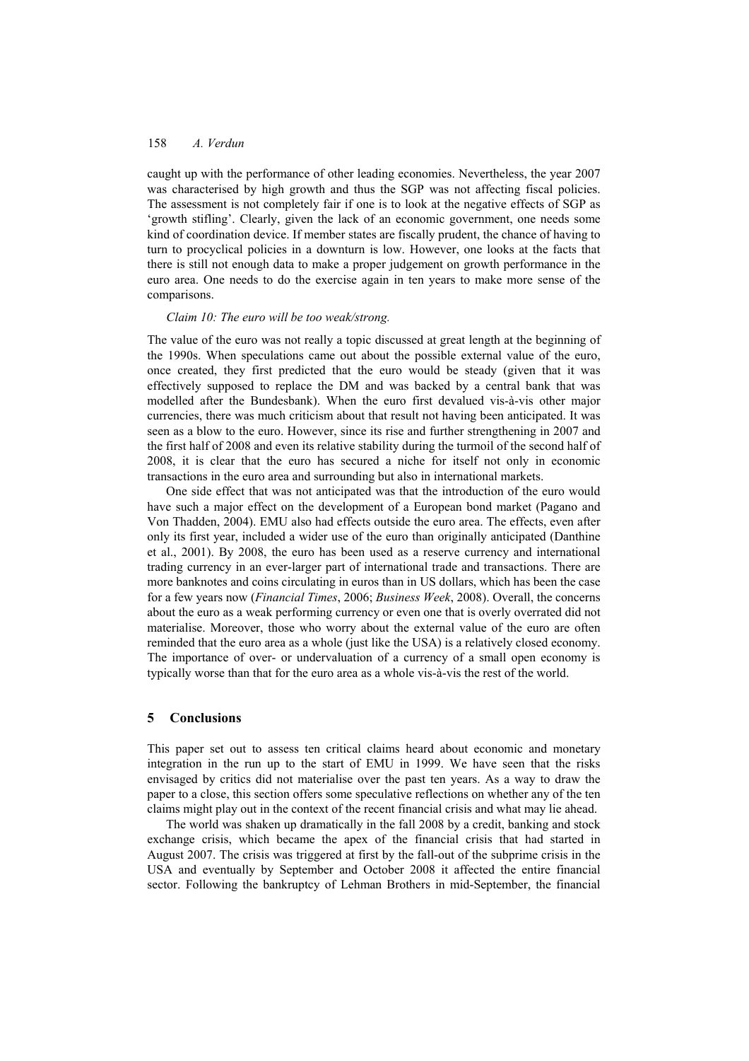caught up with the performance of other leading economies. Nevertheless, the year 2007 was characterised by high growth and thus the SGP was not affecting fiscal policies. The assessment is not completely fair if one is to look at the negative effects of SGP as 'growth stifling'. Clearly, given the lack of an economic government, one needs some kind of coordination device. If member states are fiscally prudent, the chance of having to turn to procyclical policies in a downturn is low. However, one looks at the facts that there is still not enough data to make a proper judgement on growth performance in the euro area. One needs to do the exercise again in ten years to make more sense of the comparisons.

#### *Claim 10: The euro will be too weak/strong.*

The value of the euro was not really a topic discussed at great length at the beginning of the 1990s. When speculations came out about the possible external value of the euro, once created, they first predicted that the euro would be steady (given that it was effectively supposed to replace the DM and was backed by a central bank that was modelled after the Bundesbank). When the euro first devalued vis-à-vis other major currencies, there was much criticism about that result not having been anticipated. It was seen as a blow to the euro. However, since its rise and further strengthening in 2007 and the first half of 2008 and even its relative stability during the turmoil of the second half of 2008, it is clear that the euro has secured a niche for itself not only in economic transactions in the euro area and surrounding but also in international markets.

One side effect that was not anticipated was that the introduction of the euro would have such a major effect on the development of a European bond market (Pagano and Von Thadden, 2004). EMU also had effects outside the euro area. The effects, even after only its first year, included a wider use of the euro than originally anticipated (Danthine et al., 2001). By 2008, the euro has been used as a reserve currency and international trading currency in an ever-larger part of international trade and transactions. There are more banknotes and coins circulating in euros than in US dollars, which has been the case for a few years now (*Financial Times*, 2006; *Business Week*, 2008). Overall, the concerns about the euro as a weak performing currency or even one that is overly overrated did not materialise. Moreover, those who worry about the external value of the euro are often reminded that the euro area as a whole (just like the USA) is a relatively closed economy. The importance of over- or undervaluation of a currency of a small open economy is typically worse than that for the euro area as a whole vis-à-vis the rest of the world.

### **5 Conclusions**

This paper set out to assess ten critical claims heard about economic and monetary integration in the run up to the start of EMU in 1999. We have seen that the risks envisaged by critics did not materialise over the past ten years. As a way to draw the paper to a close, this section offers some speculative reflections on whether any of the ten claims might play out in the context of the recent financial crisis and what may lie ahead.

The world was shaken up dramatically in the fall 2008 by a credit, banking and stock exchange crisis, which became the apex of the financial crisis that had started in August 2007. The crisis was triggered at first by the fall-out of the subprime crisis in the USA and eventually by September and October 2008 it affected the entire financial sector. Following the bankruptcy of Lehman Brothers in mid-September, the financial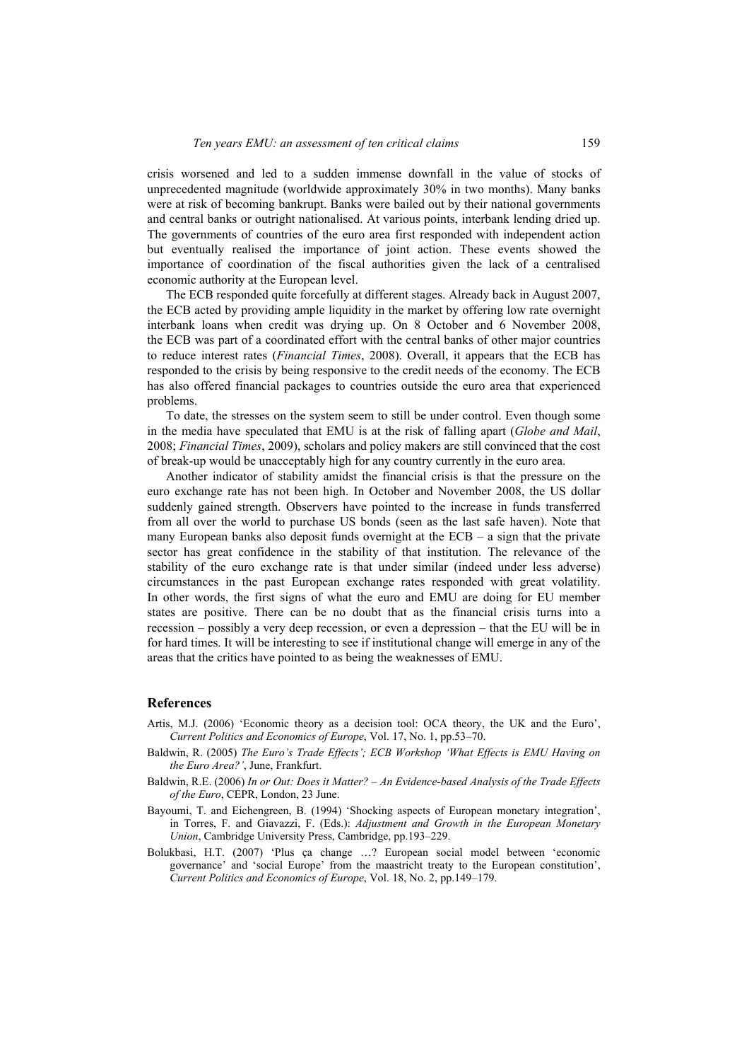crisis worsened and led to a sudden immense downfall in the value of stocks of unprecedented magnitude (worldwide approximately 30% in two months). Many banks were at risk of becoming bankrupt. Banks were bailed out by their national governments and central banks or outright nationalised. At various points, interbank lending dried up. The governments of countries of the euro area first responded with independent action but eventually realised the importance of joint action. These events showed the importance of coordination of the fiscal authorities given the lack of a centralised economic authority at the European level.

The ECB responded quite forcefully at different stages. Already back in August 2007, the ECB acted by providing ample liquidity in the market by offering low rate overnight interbank loans when credit was drying up. On 8 October and 6 November 2008, the ECB was part of a coordinated effort with the central banks of other major countries to reduce interest rates (*Financial Times*, 2008). Overall, it appears that the ECB has responded to the crisis by being responsive to the credit needs of the economy. The ECB has also offered financial packages to countries outside the euro area that experienced problems.

To date, the stresses on the system seem to still be under control. Even though some in the media have speculated that EMU is at the risk of falling apart (*Globe and Mail*, 2008; *Financial Times*, 2009), scholars and policy makers are still convinced that the cost of break-up would be unacceptably high for any country currently in the euro area.

Another indicator of stability amidst the financial crisis is that the pressure on the euro exchange rate has not been high. In October and November 2008, the US dollar suddenly gained strength. Observers have pointed to the increase in funds transferred from all over the world to purchase US bonds (seen as the last safe haven). Note that many European banks also deposit funds overnight at the ECB  $-$  a sign that the private sector has great confidence in the stability of that institution. The relevance of the stability of the euro exchange rate is that under similar (indeed under less adverse) circumstances in the past European exchange rates responded with great volatility. In other words, the first signs of what the euro and EMU are doing for EU member states are positive. There can be no doubt that as the financial crisis turns into a recession – possibly a very deep recession, or even a depression – that the EU will be in for hard times. It will be interesting to see if institutional change will emerge in any of the areas that the critics have pointed to as being the weaknesses of EMU.

#### **References**

- Artis, M.J. (2006) 'Economic theory as a decision tool: OCA theory, the UK and the Euro', *Current Politics and Economics of Europe*, Vol. 17, No. 1, pp.53–70.
- Baldwin, R. (2005) *The Euro's Trade Effects'; ECB Workshop 'What Effects is EMU Having on the Euro Area?'*, June, Frankfurt.
- Baldwin, R.E. (2006) *In or Out: Does it Matter? An Evidence-based Analysis of the Trade Effects of the Euro*, CEPR, London, 23 June.
- Bayoumi, T. and Eichengreen, B. (1994) 'Shocking aspects of European monetary integration', in Torres, F. and Giavazzi, F. (Eds.): *Adjustment and Growth in the European Monetary Union*, Cambridge University Press, Cambridge, pp.193–229.
- Bolukbasi, H.T. (2007) 'Plus ça change …? European social model between 'economic governance' and 'social Europe' from the maastricht treaty to the European constitution', *Current Politics and Economics of Europe*, Vol. 18, No. 2, pp.149–179.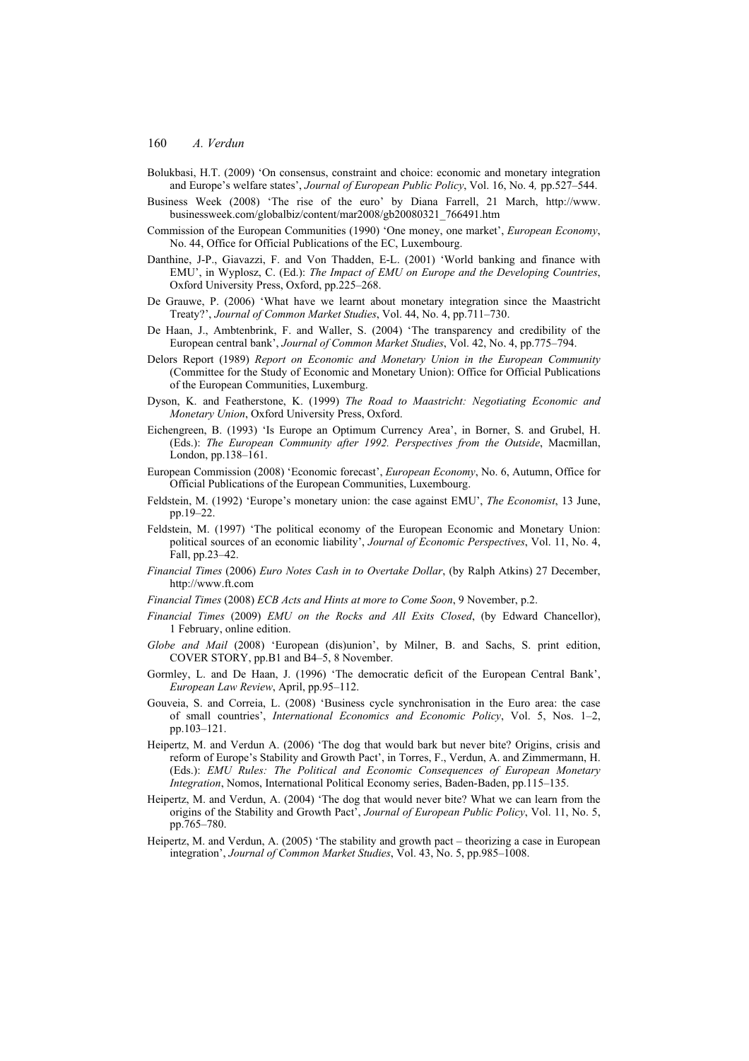- Bolukbasi, H.T. (2009) 'On consensus, constraint and choice: economic and monetary integration and Europe's welfare states', *Journal of European Public Policy*, Vol. 16, No. 4*,* pp.527–544.
- Business Week (2008) 'The rise of the euro' by Diana Farrell, 21 March, http://www. businessweek.com/globalbiz/content/mar2008/gb20080321\_766491.htm
- Commission of the European Communities (1990) 'One money, one market', *European Economy*, No. 44, Office for Official Publications of the EC, Luxembourg.
- Danthine, J-P., Giavazzi, F. and Von Thadden, E-L. (2001) 'World banking and finance with EMU', in Wyplosz, C. (Ed.): *The Impact of EMU on Europe and the Developing Countries*, Oxford University Press, Oxford, pp.225–268.
- De Grauwe, P. (2006) 'What have we learnt about monetary integration since the Maastricht Treaty?', *Journal of Common Market Studies*, Vol. 44, No. 4, pp.711–730.
- De Haan, J., Ambtenbrink, F. and Waller, S. (2004) 'The transparency and credibility of the European central bank', *Journal of Common Market Studies*, Vol. 42, No. 4, pp.775–794.
- Delors Report (1989) *Report on Economic and Monetary Union in the European Community*  (Committee for the Study of Economic and Monetary Union): Office for Official Publications of the European Communities, Luxemburg.
- Dyson, K. and Featherstone, K. (1999) *The Road to Maastricht: Negotiating Economic and Monetary Union*, Oxford University Press, Oxford.
- Eichengreen, B. (1993) 'Is Europe an Optimum Currency Area', in Borner, S. and Grubel, H. (Eds.): *The European Community after 1992. Perspectives from the Outside*, Macmillan, London, pp.138–161.
- European Commission (2008) 'Economic forecast', *European Economy*, No. 6, Autumn, Office for Official Publications of the European Communities, Luxembourg.
- Feldstein, M. (1992) 'Europe's monetary union: the case against EMU', *The Economist*, 13 June, pp.19–22.
- Feldstein, M. (1997) 'The political economy of the European Economic and Monetary Union: political sources of an economic liability', *Journal of Economic Perspectives*, Vol. 11, No. 4, Fall, pp.23–42.
- *Financial Times* (2006) *Euro Notes Cash in to Overtake Dollar*, (by Ralph Atkins) 27 December, http://www.ft.com
- *Financial Times* (2008) *ECB Acts and Hints at more to Come Soon*, 9 November, p.2.
- *Financial Times* (2009) *EMU on the Rocks and All Exits Closed*, (by Edward Chancellor), 1 February, online edition.
- *Globe and Mail* (2008) 'European (dis)union', by Milner, B. and Sachs, S. print edition, COVER STORY, pp.B1 and B4–5, 8 November.
- Gormley, L. and De Haan, J. (1996) 'The democratic deficit of the European Central Bank', *European Law Review*, April, pp.95–112.
- Gouveia, S. and Correia, L. (2008) 'Business cycle synchronisation in the Euro area: the case of small countries', *International Economics and Economic Policy*, Vol. 5, Nos. 1–2, pp.103–121.
- Heipertz, M. and Verdun A. (2006) 'The dog that would bark but never bite? Origins, crisis and reform of Europe's Stability and Growth Pact', in Torres, F., Verdun, A. and Zimmermann, H. (Eds.): *EMU Rules: The Political and Economic Consequences of European Monetary Integration*, Nomos, International Political Economy series, Baden-Baden, pp.115–135.
- Heipertz, M. and Verdun, A. (2004) 'The dog that would never bite? What we can learn from the origins of the Stability and Growth Pact', *Journal of European Public Policy*, Vol. 11, No. 5, pp.765–780.
- Heipertz, M. and Verdun, A. (2005) 'The stability and growth pact theorizing a case in European integration', *Journal of Common Market Studies*, Vol. 43, No. 5, pp.985–1008.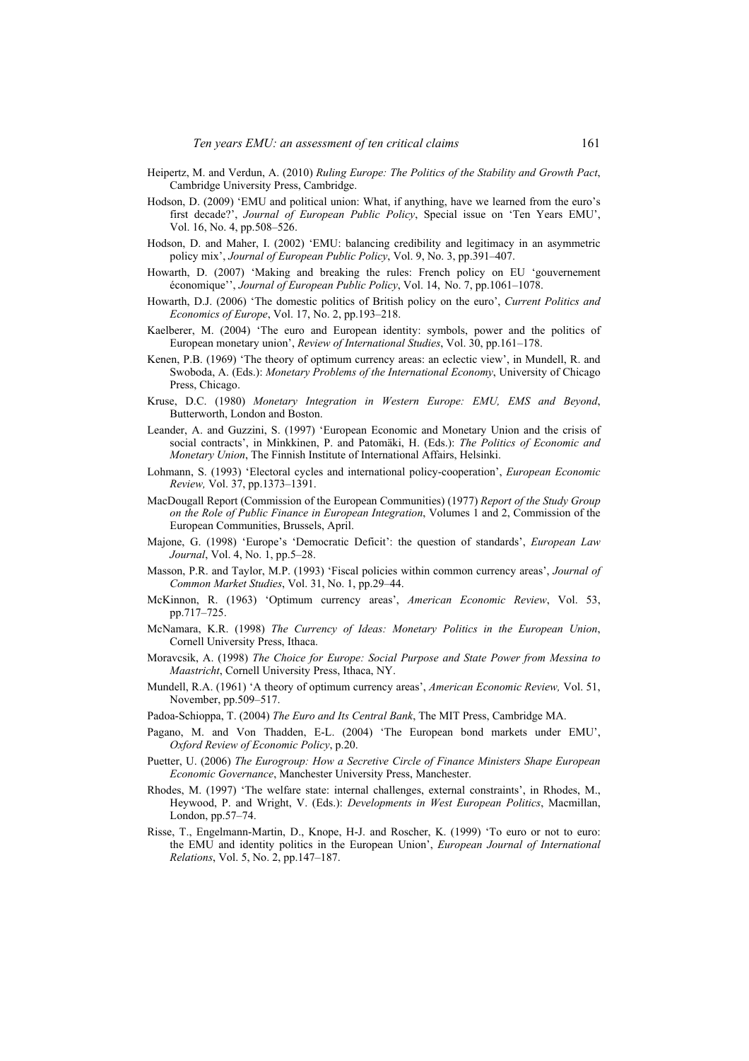- Heipertz, M. and Verdun, A. (2010) *Ruling Europe: The Politics of the Stability and Growth Pact*, Cambridge University Press, Cambridge.
- Hodson, D. (2009) 'EMU and political union: What, if anything, have we learned from the euro's first decade?', *Journal of European Public Policy*, Special issue on 'Ten Years EMU', Vol. 16, No. 4, pp.508–526.
- Hodson, D. and Maher, I. (2002) 'EMU: balancing credibility and legitimacy in an asymmetric policy mix', *Journal of European Public Policy*, Vol. 9, No. 3, pp.391–407.
- Howarth, D. (2007) 'Making and breaking the rules: French policy on EU 'gouvernement économique'', *Journal of European Public Policy*, Vol. 14, No. 7, pp.1061–1078.
- Howarth, D.J. (2006) 'The domestic politics of British policy on the euro', *Current Politics and Economics of Europe*, Vol. 17, No. 2, pp.193–218.
- Kaelberer, M. (2004) 'The euro and European identity: symbols, power and the politics of European monetary union', *Review of International Studies*, Vol. 30, pp.161–178.
- Kenen, P.B. (1969) 'The theory of optimum currency areas: an eclectic view', in Mundell, R. and Swoboda, A. (Eds.): *Monetary Problems of the International Economy*, University of Chicago Press, Chicago.
- Kruse, D.C. (1980) *Monetary Integration in Western Europe: EMU, EMS and Beyond*, Butterworth, London and Boston.
- Leander, A. and Guzzini, S. (1997) 'European Economic and Monetary Union and the crisis of social contracts', in Minkkinen, P. and Patomäki, H. (Eds.): *The Politics of Economic and Monetary Union*, The Finnish Institute of International Affairs, Helsinki.
- Lohmann, S. (1993) 'Electoral cycles and international policy-cooperation', *European Economic Review,* Vol. 37, pp.1373–1391.
- MacDougall Report (Commission of the European Communities) (1977) *Report of the Study Group on the Role of Public Finance in European Integration*, Volumes 1 and 2, Commission of the European Communities, Brussels, April.
- Majone, G. (1998) 'Europe's 'Democratic Deficit': the question of standards', *European Law Journal*, Vol. 4, No. 1, pp.5–28.
- Masson, P.R. and Taylor, M.P. (1993) 'Fiscal policies within common currency areas', *Journal of Common Market Studies*, Vol. 31, No. 1, pp.29–44.
- McKinnon, R. (1963) 'Optimum currency areas', *American Economic Review*, Vol. 53, pp.717–725.
- McNamara, K.R. (1998) *The Currency of Ideas: Monetary Politics in the European Union*, Cornell University Press, Ithaca.
- Moravcsik, A. (1998) *The Choice for Europe: Social Purpose and State Power from Messina to Maastricht*, Cornell University Press, Ithaca, NY.
- Mundell, R.A. (1961) 'A theory of optimum currency areas', *American Economic Review,* Vol. 51, November, pp.509–517.
- Padoa-Schioppa, T. (2004) *The Euro and Its Central Bank*, The MIT Press, Cambridge MA.
- Pagano, M. and Von Thadden, E-L. (2004) 'The European bond markets under EMU', *Oxford Review of Economic Policy*, p.20.
- Puetter, U. (2006) *The Eurogroup: How a Secretive Circle of Finance Ministers Shape European Economic Governance*, Manchester University Press, Manchester.
- Rhodes, M. (1997) 'The welfare state: internal challenges, external constraints', in Rhodes, M., Heywood, P. and Wright, V. (Eds.): *Developments in West European Politics*, Macmillan, London, pp.57–74.
- Risse, T., Engelmann-Martin, D., Knope, H-J. and Roscher, K. (1999) 'To euro or not to euro: the EMU and identity politics in the European Union', *European Journal of International Relations*, Vol. 5, No. 2, pp.147–187.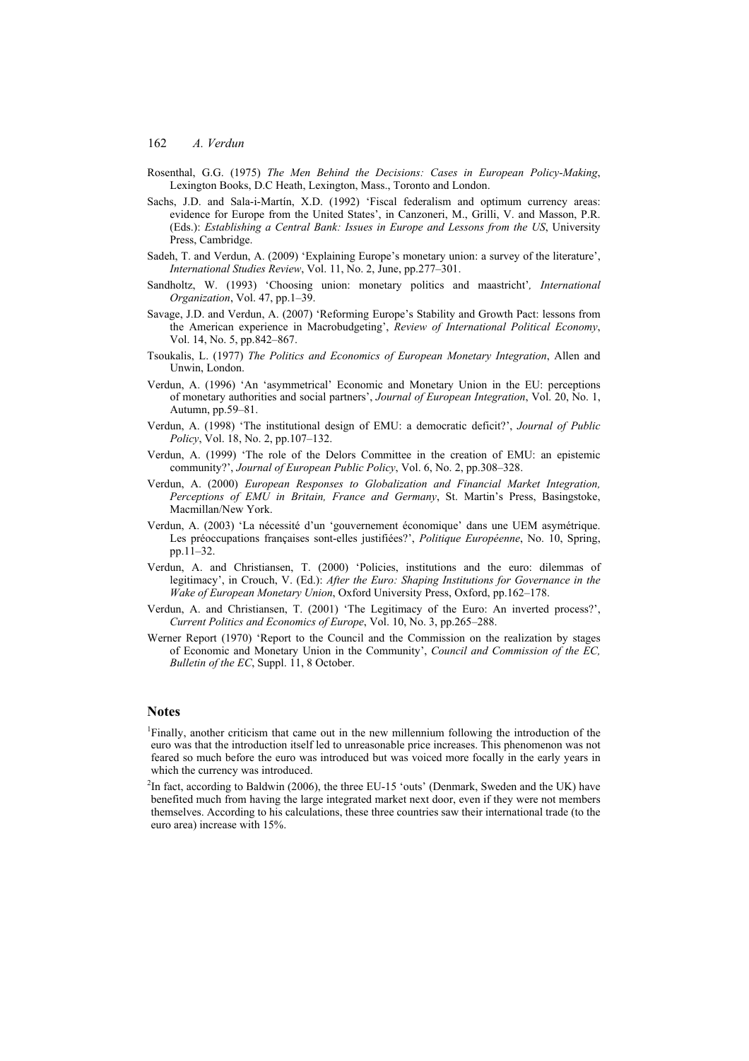- Rosenthal, G.G. (1975) *The Men Behind the Decisions: Cases in European Policy-Making*, Lexington Books, D.C Heath, Lexington, Mass., Toronto and London.
- Sachs, J.D. and Sala-i-Martín, X.D. (1992) 'Fiscal federalism and optimum currency areas: evidence for Europe from the United States', in Canzoneri, M., Grilli, V. and Masson, P.R. (Eds.): *Establishing a Central Bank: Issues in Europe and Lessons from the US*, University Press, Cambridge.
- Sadeh, T. and Verdun, A. (2009) 'Explaining Europe's monetary union: a survey of the literature', *International Studies Review*, Vol. 11, No. 2, June, pp.277–301.
- Sandholtz, W. (1993) 'Choosing union: monetary politics and maastricht'*, International Organization*, Vol. 47, pp.1–39.
- Savage, J.D. and Verdun, A. (2007) 'Reforming Europe's Stability and Growth Pact: lessons from the American experience in Macrobudgeting', *Review of International Political Economy*, Vol. 14, No. 5, pp.842–867.
- Tsoukalis, L. (1977) *The Politics and Economics of European Monetary Integration*, Allen and Unwin, London.
- Verdun, A. (1996) 'An 'asymmetrical' Economic and Monetary Union in the EU: perceptions of monetary authorities and social partners', *Journal of European Integration*, Vol. 20, No. 1, Autumn, pp.59–81.
- Verdun, A. (1998) 'The institutional design of EMU: a democratic deficit?', *Journal of Public Policy*, Vol. 18, No. 2, pp.107–132.
- Verdun, A. (1999) 'The role of the Delors Committee in the creation of EMU: an epistemic community?', *Journal of European Public Policy*, Vol. 6, No. 2, pp.308–328.
- Verdun, A. (2000) *European Responses to Globalization and Financial Market Integration, Perceptions of EMU in Britain, France and Germany*, St. Martin's Press, Basingstoke, Macmillan/New York.
- Verdun, A. (2003) 'La nécessité d'un 'gouvernement économique' dans une UEM asymétrique. Les préoccupations françaises sont-elles justifiées?', *Politique Européenne*, No. 10, Spring, pp.11–32.
- Verdun, A. and Christiansen, T. (2000) 'Policies, institutions and the euro: dilemmas of legitimacy', in Crouch, V. (Ed.): *After the Euro: Shaping Institutions for Governance in the Wake of European Monetary Union*, Oxford University Press, Oxford, pp.162–178.
- Verdun, A. and Christiansen, T. (2001) 'The Legitimacy of the Euro: An inverted process?', *Current Politics and Economics of Europe*, Vol. 10, No. 3, pp.265–288.
- Werner Report (1970) 'Report to the Council and the Commission on the realization by stages of Economic and Monetary Union in the Community', *Council and Commission of the EC, Bulletin of the EC*, Suppl. 11, 8 October.

#### **Notes**

<sup>1</sup>Finally, another criticism that came out in the new millennium following the introduction of the euro was that the introduction itself led to unreasonable price increases. This phenomenon was not feared so much before the euro was introduced but was voiced more focally in the early years in which the currency was introduced.

<sup>2</sup>In fact, according to Baldwin (2006), the three EU-15 'outs' (Denmark, Sweden and the UK) have benefited much from having the large integrated market next door, even if they were not members themselves. According to his calculations, these three countries saw their international trade (to the euro area) increase with 15%.